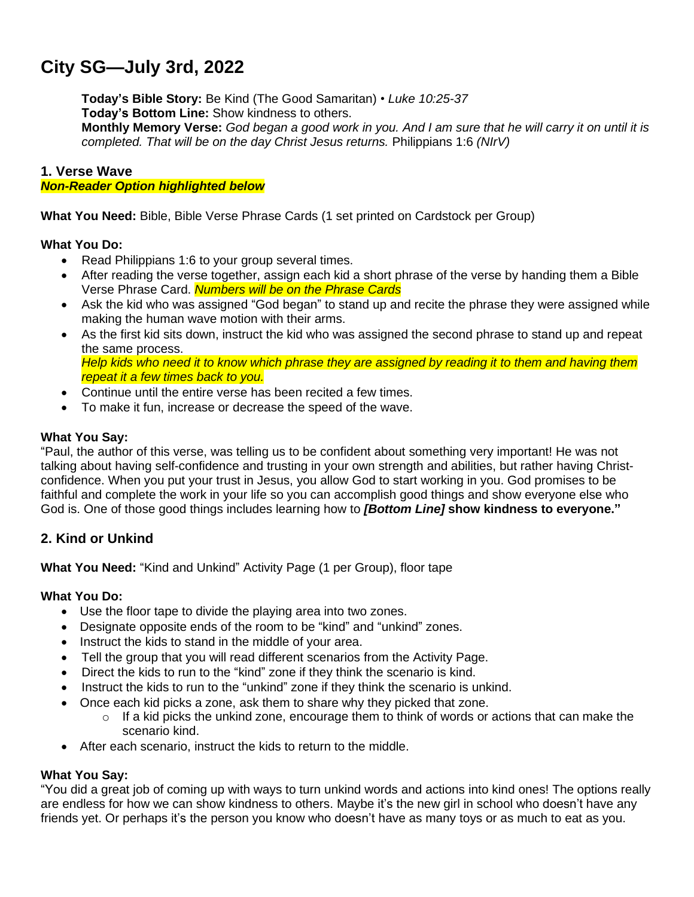# **City SG—July 3rd, 2022**

**Today's Bible Story:** Be Kind (The Good Samaritan) • *Luke 10:25-37* **Today's Bottom Line:** Show kindness to others. Monthly Memory Verse: God began a good work in you. And I am sure that he will carry it on until it is *completed. That will be on the day Christ Jesus returns.* Philippians 1:6 *(NIrV)*

#### **1. Verse Wave**

#### *Non-Reader Option highlighted below*

**What You Need:** Bible, Bible Verse Phrase Cards (1 set printed on Cardstock per Group)

#### **What You Do:**

- Read Philippians 1:6 to your group several times.
- After reading the verse together, assign each kid a short phrase of the verse by handing them a Bible Verse Phrase Card. *Numbers will be on the Phrase Cards*
- Ask the kid who was assigned "God began" to stand up and recite the phrase they were assigned while making the human wave motion with their arms.
- As the first kid sits down, instruct the kid who was assigned the second phrase to stand up and repeat the same process. Help kids who need it to know which phrase they are assigned by reading it to them and having them *repeat it a few times back to you.*
- Continue until the entire verse has been recited a few times.
- To make it fun, increase or decrease the speed of the wave.

#### **What You Say:**

"Paul, the author of this verse, was telling us to be confident about something very important! He was not talking about having self-confidence and trusting in your own strength and abilities, but rather having Christconfidence. When you put your trust in Jesus, you allow God to start working in you. God promises to be faithful and complete the work in your life so you can accomplish good things and show everyone else who God is. One of those good things includes learning how to *[Bottom Line]* **show kindness to everyone."**

## **2. Kind or Unkind**

**What You Need:** "Kind and Unkind" Activity Page (1 per Group), floor tape

#### **What You Do:**

- Use the floor tape to divide the playing area into two zones.
- Designate opposite ends of the room to be "kind" and "unkind" zones.
- Instruct the kids to stand in the middle of your area.
- Tell the group that you will read different scenarios from the Activity Page.
- Direct the kids to run to the "kind" zone if they think the scenario is kind.
- Instruct the kids to run to the "unkind" zone if they think the scenario is unkind.
- Once each kid picks a zone, ask them to share why they picked that zone.
	- $\circ$  If a kid picks the unkind zone, encourage them to think of words or actions that can make the scenario kind.
- After each scenario, instruct the kids to return to the middle.

#### **What You Say:**

"You did a great job of coming up with ways to turn unkind words and actions into kind ones! The options really are endless for how we can show kindness to others. Maybe it's the new girl in school who doesn't have any friends yet. Or perhaps it's the person you know who doesn't have as many toys or as much to eat as you.